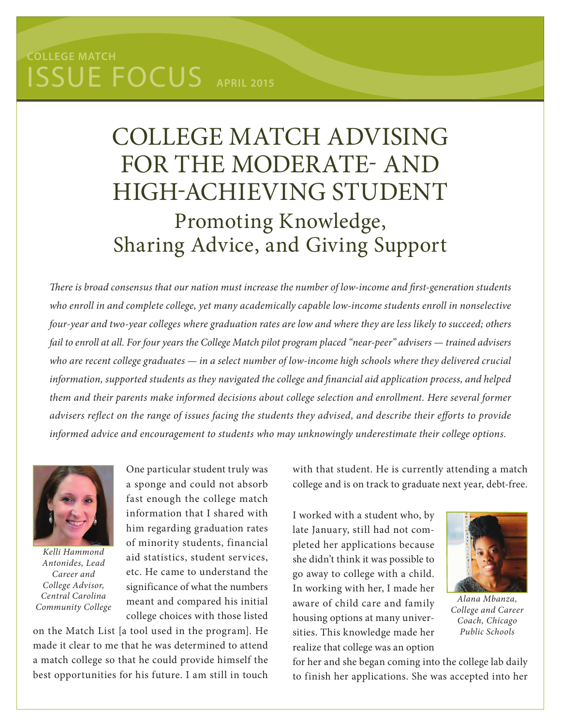## issue Focus **APRIL 2015 College Match**

## College Match Advising for the Moderate- and High-Achieving Student Promoting Knowledge, Sharing Advice, and Giving Support

*There is broad consensus that our nation must increase the number of low-income and first-generation students who enroll in and complete college, yet many academically capable low-income students enroll in nonselective four-year and two-year colleges where graduation rates are low and where they are less likely to succeed; others fail to enroll at all. For four years the College Match pilot program placed "near-peer" advisers — trained advisers who are recent college graduates — in a select number of low-income high schools where they delivered crucial information, supported students as they navigated the college and financial aid application process, and helped them and their parents make informed decisions about college selection and enrollment. Here several former advisers reflect on the range of issues facing the students they advised, and describe their efforts to provide informed advice and encouragement to students who may unknowingly underestimate their college options.*



*Kelli Hammond Antonides, Lead Career and College Advisor, Central Carolina Community College*

One particular student truly was a sponge and could not absorb fast enough the college match information that I shared with him regarding graduation rates of minority students, financial aid statistics, student services, etc. He came to understand the significance of what the numbers meant and compared his initial college choices with those listed

on the Match List [a tool used in the program]. He made it clear to me that he was determined to attend a match college so that he could provide himself the best opportunities for his future. I am still in touch

with that student. He is currently attending a match college and is on track to graduate next year, debt-free.

I worked with a student who, by late January, still had not completed her applications because she didn't think it was possible to go away to college with a child. In working with her, I made her aware of child care and family housing options at many universities. This knowledge made her realize that college was an option



*Alana Mbanza, College and Career Coach, Chicago Public Schools*

for her and she began coming into the college lab daily to finish her applications. She was accepted into her